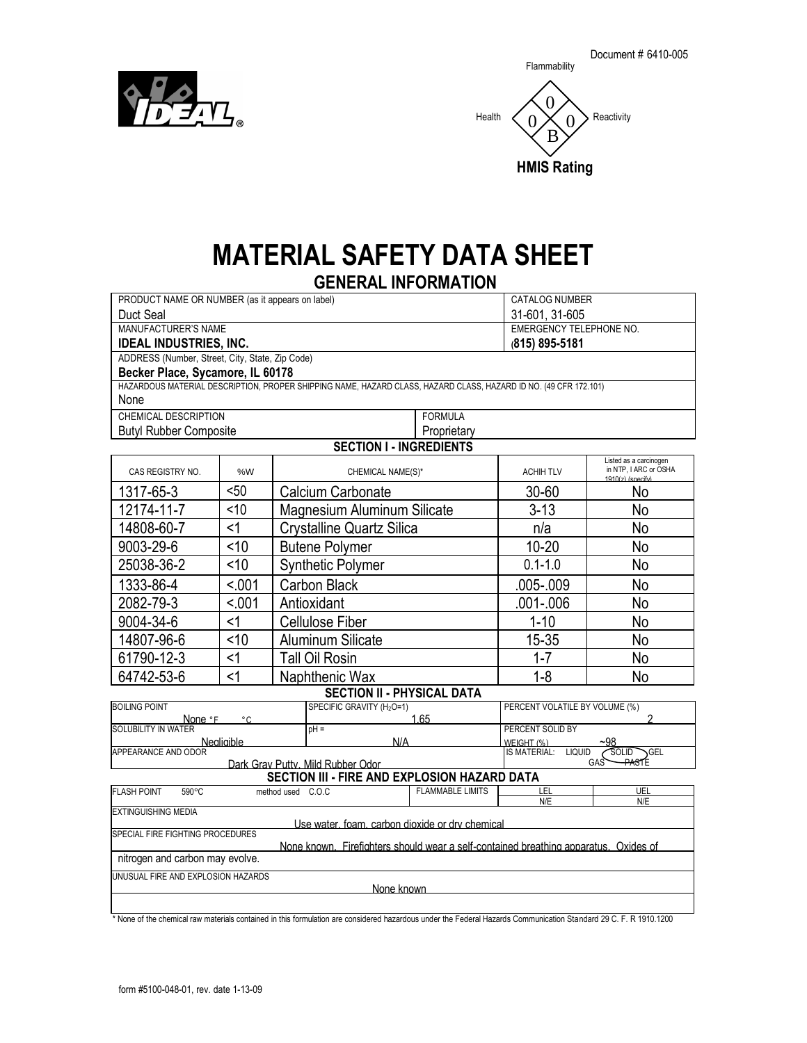



Flammability



## **MATERIAL SAFETY DATA SHEET**

**GENERAL INFORMATION**

| PRODUCT NAME OR NUMBER (as it appears on label)                                      |                                                                             | <b>CATALOG NUMBER</b>                                                                                            |                         |                                                                                           |                                                 |  |  |  |
|--------------------------------------------------------------------------------------|-----------------------------------------------------------------------------|------------------------------------------------------------------------------------------------------------------|-------------------------|-------------------------------------------------------------------------------------------|-------------------------------------------------|--|--|--|
| Duct Seal                                                                            |                                                                             | 31-601, 31-605                                                                                                   |                         |                                                                                           |                                                 |  |  |  |
| MANUFACTURER'S NAME                                                                  |                                                                             | EMERGENCY TELEPHONE NO.                                                                                          |                         |                                                                                           |                                                 |  |  |  |
| <b>IDEAL INDUSTRIES, INC.</b>                                                        |                                                                             | (815) 895-5181                                                                                                   |                         |                                                                                           |                                                 |  |  |  |
| ADDRESS (Number, Street, City, State, Zip Code)                                      |                                                                             |                                                                                                                  |                         |                                                                                           |                                                 |  |  |  |
| Becker Place, Sycamore, IL 60178                                                     |                                                                             | HAZARDOUS MATERIAL DESCRIPTION, PROPER SHIPPING NAME, HAZARD CLASS, HAZARD CLASS, HAZARD ID NO. (49 CFR 172.101) |                         |                                                                                           |                                                 |  |  |  |
| None                                                                                 |                                                                             |                                                                                                                  |                         |                                                                                           |                                                 |  |  |  |
| CHEMICAL DESCRIPTION<br><b>FORMULA</b>                                               |                                                                             |                                                                                                                  |                         |                                                                                           |                                                 |  |  |  |
| <b>Butyl Rubber Composite</b>                                                        |                                                                             |                                                                                                                  |                         |                                                                                           |                                                 |  |  |  |
|                                                                                      |                                                                             | <b>SECTION I - INGREDIENTS</b>                                                                                   | Proprietary             |                                                                                           |                                                 |  |  |  |
| CAS REGISTRY NO.                                                                     | %W                                                                          | CHEMICAL NAME(S)*                                                                                                |                         | <b>ACHIH TLV</b>                                                                          | Listed as a carcinogen<br>in NTP, I ARC or OSHA |  |  |  |
| 1317-65-3                                                                            | $50$                                                                        | Calcium Carbonate                                                                                                |                         | $30 - 60$                                                                                 | $1910(z)$ (specify)<br>No                       |  |  |  |
| 12174-11-7                                                                           | < 10                                                                        | <b>Magnesium Aluminum Silicate</b>                                                                               |                         | $3 - 13$                                                                                  | No                                              |  |  |  |
| 14808-60-7                                                                           | $1$                                                                         | <b>Crystalline Quartz Silica</b>                                                                                 |                         | n/a                                                                                       | No                                              |  |  |  |
| 9003-29-6                                                                            | < 10                                                                        | <b>Butene Polymer</b>                                                                                            |                         | $10 - 20$                                                                                 | No                                              |  |  |  |
| 25038-36-2                                                                           | < 10                                                                        |                                                                                                                  |                         | $0.1 - 1.0$                                                                               | No                                              |  |  |  |
|                                                                                      |                                                                             | <b>Synthetic Polymer</b>                                                                                         |                         |                                                                                           |                                                 |  |  |  |
| 1333-86-4                                                                            | < 001                                                                       | Carbon Black                                                                                                     |                         | .005-.009                                                                                 | No                                              |  |  |  |
| 2082-79-3                                                                            | < .001                                                                      | Antioxidant                                                                                                      |                         | 001-.006                                                                                  | No                                              |  |  |  |
| 9004-34-6                                                                            | $<$ 1                                                                       | <b>Cellulose Fiber</b>                                                                                           |                         | $1 - 10$                                                                                  | No                                              |  |  |  |
| 14807-96-6                                                                           | < 10                                                                        | <b>Aluminum Silicate</b>                                                                                         |                         | 15-35                                                                                     | No                                              |  |  |  |
| 61790-12-3                                                                           | $<$ 1                                                                       | <b>Tall Oil Rosin</b>                                                                                            |                         | $1 - 7$                                                                                   | No                                              |  |  |  |
| 64742-53-6                                                                           | $<$ 1                                                                       | Naphthenic Wax                                                                                                   |                         | $1 - 8$                                                                                   | <b>No</b>                                       |  |  |  |
|                                                                                      |                                                                             | <b>SECTION II - PHYSICAL DATA</b>                                                                                |                         |                                                                                           |                                                 |  |  |  |
| None °F                                                                              | SPECIFIC GRAVITY (H <sub>2</sub> O=1)<br><b>BOILING POINT</b><br>1.65<br>°C |                                                                                                                  |                         |                                                                                           | PERCENT VOLATILE BY VOLUME (%)                  |  |  |  |
| <b>SOLUBILITY IN WATER</b><br>$pH =$                                                 |                                                                             |                                                                                                                  |                         | PERCENT SOLID BY                                                                          |                                                 |  |  |  |
| Nealiaible<br>N/A<br>APPEARANCE AND ODOR                                             |                                                                             |                                                                                                                  |                         | $-98$<br>WEIGHT (%)<br><b>IS MATERIAL:</b><br><b>LIQUID</b><br><b>SOLID</b><br><b>GEL</b> |                                                 |  |  |  |
| <b>PASTE</b><br><b>GAS</b><br>Dark Grav Putty. Mild Rubber Odor                      |                                                                             |                                                                                                                  |                         |                                                                                           |                                                 |  |  |  |
|                                                                                      |                                                                             | SECTION III - FIRE AND EXPLOSION HAZARD DATA                                                                     |                         |                                                                                           |                                                 |  |  |  |
| <b>FLASH POINT</b><br>590°C                                                          |                                                                             | method used C.O.C                                                                                                | <b>FLAMMABLE LIMITS</b> | LEL<br>N/E                                                                                | UEL<br>N/E                                      |  |  |  |
| <b>EXTINGUISHING MEDIA</b>                                                           |                                                                             |                                                                                                                  |                         |                                                                                           |                                                 |  |  |  |
| SPECIAL FIRE FIGHTING PROCEDURES                                                     |                                                                             | Use water, foam, carbon dioxide or dry chemical                                                                  |                         |                                                                                           |                                                 |  |  |  |
| None known. Firefighters should wear a self-contained breathing apparatus. Oxides of |                                                                             |                                                                                                                  |                         |                                                                                           |                                                 |  |  |  |
| nitrogen and carbon may evolve.                                                      |                                                                             |                                                                                                                  |                         |                                                                                           |                                                 |  |  |  |
| UNUSUAL FIRE AND EXPLOSION HAZARDS                                                   |                                                                             |                                                                                                                  |                         |                                                                                           |                                                 |  |  |  |
|                                                                                      |                                                                             | None known                                                                                                       |                         |                                                                                           |                                                 |  |  |  |

\* None of the chemical raw materials contained in this formulation are considered hazardous under the Federal Hazards Communication Standard 29 C. F. R 1910.1200